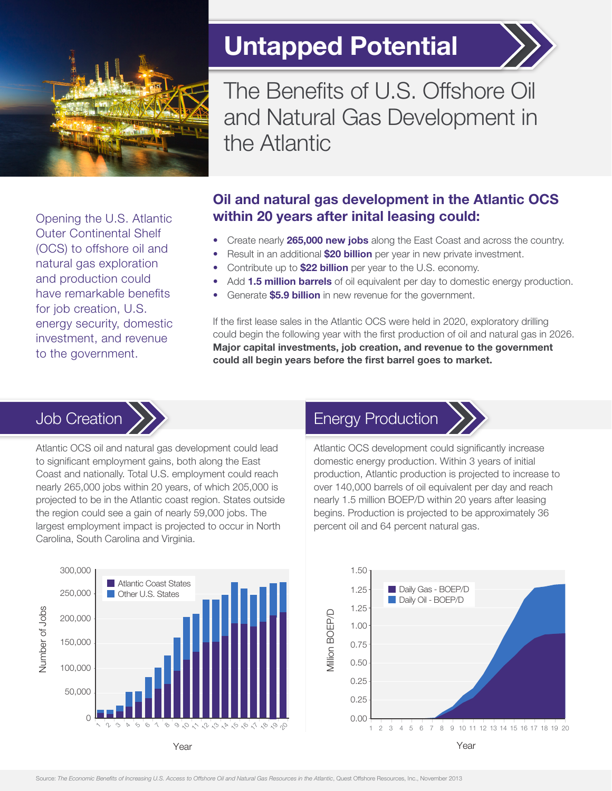

Untapped Potential



The Benefits of U.S. Offshore Oil and Natural Gas Development in the Atlantic

Opening the U.S. Atlantic Outer Continental Shelf (OCS) to offshore oil and natural gas exploration and production could have remarkable benefits for job creation, U.S. energy security, domestic investment, and revenue to the government.

#### Oil and natural gas development in the Atlantic OCS within 20 years after inital leasing could:

- Create nearly 265,000 new jobs along the East Coast and across the country.
- Result in an additional \$20 billion per year in new private investment.
- Contribute up to **\$22 billion** per year to the U.S. economy.
- Add 1.5 million barrels of oil equivalent per day to domestic energy production.
- Generate **\$5.9 billion** in new revenue for the government.

If the first lease sales in the Atlantic OCS were held in 2020, exploratory drilling could begin the following year with the first production of oil and natural gas in 2026. Major capital investments, job creation, and revenue to the government could all begin years before the first barrel goes to market.

# Job Creation



Atlantic OCS oil and natural gas development could lead to significant employment gains, both along the East Coast and nationally. Total U.S. employment could reach nearly 265,000 jobs within 20 years, of which 205,000 is projected to be in the Atlantic coast region. States outside the region could see a gain of nearly 59,000 jobs. The largest employment impact is projected to occur in North Carolina, South Carolina and Virginia.

# Energy Production



Atlantic OCS development could significantly increase domestic energy production. Within 3 years of initial production, Atlantic production is projected to increase to over 140,000 barrels of oil equivalent per day and reach nearly 1.5 million BOEP/D within 20 years after leasing begins. Production is projected to be approximately 36 percent oil and 64 percent natural gas.